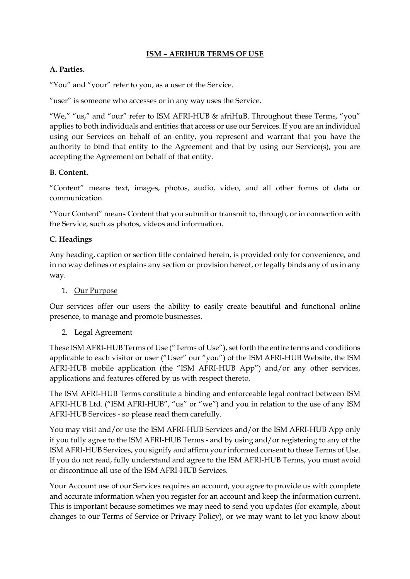## **ISM – AFRIHUB TERMS OF USE**

### **A. Parties.**

"You" and "your" refer to you, as a user of the Service.

"user" is someone who accesses or in any way uses the Service.

"We," "us," and "our" refer to ISM AFRI-HUB & afriHuB. Throughout these Terms, "you" applies to both individuals and entities that access or use our Services. If you are an individual using our Services on behalf of an entity, you represent and warrant that you have the authority to bind that entity to the Agreement and that by using our Service(s), you are accepting the Agreement on behalf of that entity.

### **B. Content.**

"Content" means text, images, photos, audio, video, and all other forms of data or communication.

"Your Content" means Content that you submit or transmit to, through, or in connection with the Service, such as photos, videos and information.

## **C. Headings**

Any heading, caption or section title contained herein, is provided only for convenience, and in no way defines or explains any section or provision hereof, or legally binds any of us in any way.

## 1. Our Purpose

Our services offer our users the ability to easily create beautiful and functional online presence, to manage and promote businesses.

#### 2. Legal Agreement

These ISM AFRI-HUB Terms of Use ("Terms of Use"), set forth the entire terms and conditions applicable to each visitor or user ("User" our "you") of the ISM AFRI-HUB Website, the ISM AFRI-HUB mobile application (the "ISM AFRI-HUB App") and/or any other services, applications and features offered by us with respect thereto.

The ISM AFRI-HUB Terms constitute a binding and enforceable legal contract between ISM AFRI-HUB Ltd. ("ISM AFRI-HUB", "us" or "we") and you in relation to the use of any ISM AFRI-HUB Services - so please read them carefully.

You may visit and/or use the ISM AFRI-HUB Services and/or the ISM AFRI-HUB App only if you fully agree to the ISM AFRI-HUB Terms - and by using and/or registering to any of the ISM AFRI-HUB Services, you signify and affirm your informed consent to these Terms of Use. If you do not read, fully understand and agree to the ISM AFRI-HUB Terms, you must avoid or discontinue all use of the ISM AFRI-HUB Services.

Your Account use of our Services requires an account, you agree to provide us with complete and accurate information when you register for an account and keep the information current. This is important because sometimes we may need to send you updates (for example, about changes to our Terms of Service or Privacy Policy), or we may want to let you know about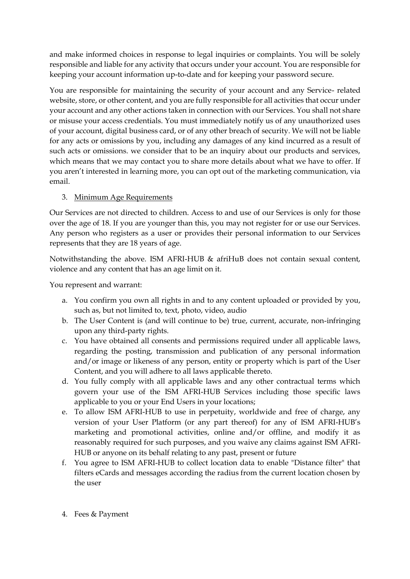and make informed choices in response to legal inquiries or complaints. You will be solely responsible and liable for any activity that occurs under your account. You are responsible for keeping your account information up-to-date and for keeping your password secure.

You are responsible for maintaining the security of your account and any Service- related website, store, or other content, and you are fully responsible for all activities that occur under your account and any other actions taken in connection with our Services. You shall not share or misuse your access credentials. You must immediately notify us of any unauthorized uses of your account, digital business card, or of any other breach of security. We will not be liable for any acts or omissions by you, including any damages of any kind incurred as a result of such acts or omissions. we consider that to be an inquiry about our products and services, which means that we may contact you to share more details about what we have to offer. If you aren't interested in learning more, you can opt out of the marketing communication, via email.

# 3. Minimum Age Requirements

Our Services are not directed to children. Access to and use of our Services is only for those over the age of 18. If you are younger than this, you may not register for or use our Services. Any person who registers as a user or provides their personal information to our Services represents that they are 18 years of age.

Notwithstanding the above. ISM AFRI-HUB & afriHuB does not contain sexual content, violence and any content that has an age limit on it.

You represent and warrant:

- a. You confirm you own all rights in and to any content uploaded or provided by you, such as, but not limited to, text, photo, video, audio
- b. The User Content is (and will continue to be) true, current, accurate, non-infringing upon any third-party rights.
- c. You have obtained all consents and permissions required under all applicable laws, regarding the posting, transmission and publication of any personal information and/or image or likeness of any person, entity or property which is part of the User Content, and you will adhere to all laws applicable thereto.
- d. You fully comply with all applicable laws and any other contractual terms which govern your use of the ISM AFRI-HUB Services including those specific laws applicable to you or your End Users in your locations;
- e. To allow ISM AFRI-HUB to use in perpetuity, worldwide and free of charge, any version of your User Platform (or any part thereof) for any of ISM AFRI-HUB's marketing and promotional activities, online and/or offline, and modify it as reasonably required for such purposes, and you waive any claims against ISM AFRI-HUB or anyone on its behalf relating to any past, present or future
- f. You agree to ISM AFRI-HUB to collect location data to enable "Distance filter" that filters eCards and messages according the radius from the current location chosen by the user
- 4. Fees & Payment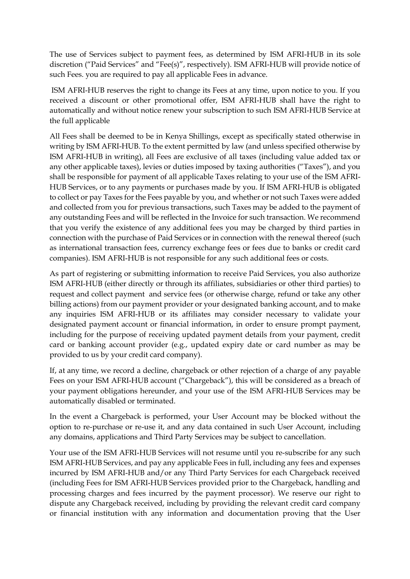The use of Services subject to payment fees, as determined by ISM AFRI-HUB in its sole discretion ("Paid Services" and "Fee(s)", respectively). ISM AFRI-HUB will provide notice of such Fees. you are required to pay all applicable Fees in advance.

ISM AFRI-HUB reserves the right to change its Fees at any time, upon notice to you. If you received a discount or other promotional offer, ISM AFRI-HUB shall have the right to automatically and without notice renew your subscription to such ISM AFRI-HUB Service at the full applicable

All Fees shall be deemed to be in Kenya Shillings, except as specifically stated otherwise in writing by ISM AFRI-HUB. To the extent permitted by law (and unless specified otherwise by ISM AFRI-HUB in writing), all Fees are exclusive of all taxes (including value added tax or any other applicable taxes), levies or duties imposed by taxing authorities ("Taxes"), and you shall be responsible for payment of all applicable Taxes relating to your use of the ISM AFRI-HUB Services, or to any payments or purchases made by you. If ISM AFRI-HUB is obligated to collect or pay Taxes for the Fees payable by you, and whether or not such Taxes were added and collected from you for previous transactions, such Taxes may be added to the payment of any outstanding Fees and will be reflected in the Invoice for such transaction. We recommend that you verify the existence of any additional fees you may be charged by third parties in connection with the purchase of Paid Services or in connection with the renewal thereof (such as international transaction fees, currency exchange fees or fees due to banks or credit card companies). ISM AFRI-HUB is not responsible for any such additional fees or costs.

As part of registering or submitting information to receive Paid Services, you also authorize ISM AFRI-HUB (either directly or through its affiliates, subsidiaries or other third parties) to request and collect payment and service fees (or otherwise charge, refund or take any other billing actions) from our payment provider or your designated banking account, and to make any inquiries ISM AFRI-HUB or its affiliates may consider necessary to validate your designated payment account or financial information, in order to ensure prompt payment, including for the purpose of receiving updated payment details from your payment, credit card or banking account provider (e.g., updated expiry date or card number as may be provided to us by your credit card company).

If, at any time, we record a decline, chargeback or other rejection of a charge of any payable Fees on your ISM AFRI-HUB account ("Chargeback"), this will be considered as a breach of your payment obligations hereunder, and your use of the ISM AFRI-HUB Services may be automatically disabled or terminated.

In the event a Chargeback is performed, your User Account may be blocked without the option to re-purchase or re-use it, and any data contained in such User Account, including any domains, applications and Third Party Services may be subject to cancellation.

Your use of the ISM AFRI-HUB Services will not resume until you re-subscribe for any such ISM AFRI-HUB Services, and pay any applicable Fees in full, including any fees and expenses incurred by ISM AFRI-HUB and/or any Third Party Services for each Chargeback received (including Fees for ISM AFRI-HUB Services provided prior to the Chargeback, handling and processing charges and fees incurred by the payment processor). We reserve our right to dispute any Chargeback received, including by providing the relevant credit card company or financial institution with any information and documentation proving that the User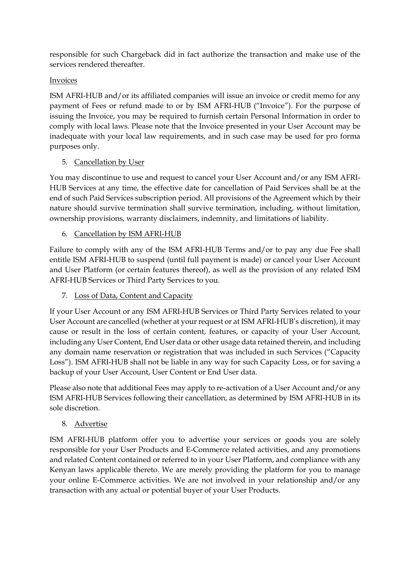responsible for such Chargeback did in fact authorize the transaction and make use of the services rendered thereafter.

# Invoices

ISM AFRI-HUB and/or its affiliated companies will issue an invoice or credit memo for any payment of Fees or refund made to or by ISM AFRI-HUB ("Invoice"). For the purpose of issuing the Invoice, you may be required to furnish certain Personal Information in order to comply with local laws. Please note that the Invoice presented in your User Account may be inadequate with your local law requirements, and in such case may be used for pro forma purposes only.

# 5. Cancellation by User

You may discontinue to use and request to cancel your User Account and/or any ISM AFRI-HUB Services at any time, the effective date for cancellation of Paid Services shall be at the end of such Paid Services subscription period. All provisions of the Agreement which by their nature should survive termination shall survive termination, including, without limitation, ownership provisions, warranty disclaimers, indemnity, and limitations of liability.

# 6. Cancellation by ISM AFRI-HUB

Failure to comply with any of the ISM AFRI-HUB Terms and/or to pay any due Fee shall entitle ISM AFRI-HUB to suspend (until full payment is made) or cancel your User Account and User Platform (or certain features thereof), as well as the provision of any related ISM AFRI-HUB Services or Third Party Services to you.

7. Loss of Data, Content and Capacity

If your User Account or any ISM AFRI-HUB Services or Third Party Services related to your User Account are cancelled (whether at your request or at ISM AFRI-HUB's discretion), it may cause or result in the loss of certain content, features, or capacity of your User Account, including any User Content, End User data or other usage data retained therein, and including any domain name reservation or registration that was included in such Services ("Capacity Loss"). ISM AFRI-HUB shall not be liable in any way for such Capacity Loss, or for saving a backup of your User Account, User Content or End User data.

Please also note that additional Fees may apply to re-activation of a User Account and/or any ISM AFRI-HUB Services following their cancellation, as determined by ISM AFRI-HUB in its sole discretion.

8. Advertise

ISM AFRI-HUB platform offer you to advertise your services or goods you are solely responsible for your User Products and E-Commerce related activities, and any promotions and related Content contained or referred to in your User Platform, and compliance with any Kenyan laws applicable thereto. We are merely providing the platform for you to manage your online E-Commerce activities. We are not involved in your relationship and/or any transaction with any actual or potential buyer of your User Products.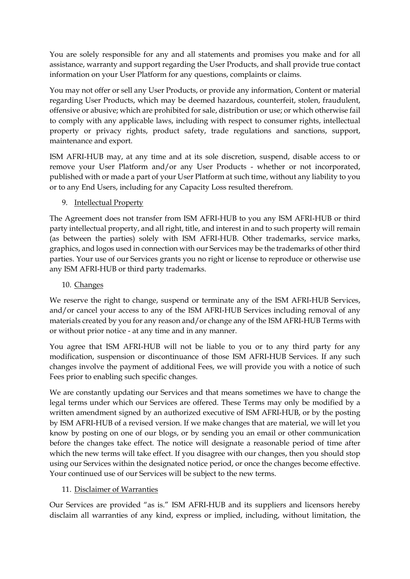You are solely responsible for any and all statements and promises you make and for all assistance, warranty and support regarding the User Products, and shall provide true contact information on your User Platform for any questions, complaints or claims.

You may not offer or sell any User Products, or provide any information, Content or material regarding User Products, which may be deemed hazardous, counterfeit, stolen, fraudulent, offensive or abusive; which are prohibited for sale, distribution or use; or which otherwise fail to comply with any applicable laws, including with respect to consumer rights, intellectual property or privacy rights, product safety, trade regulations and sanctions, support, maintenance and export.

ISM AFRI-HUB may, at any time and at its sole discretion, suspend, disable access to or remove your User Platform and/or any User Products - whether or not incorporated, published with or made a part of your User Platform at such time, without any liability to you or to any End Users, including for any Capacity Loss resulted therefrom.

## 9. Intellectual Property

The Agreement does not transfer from ISM AFRI-HUB to you any ISM AFRI-HUB or third party intellectual property, and all right, title, and interest in and to such property will remain (as between the parties) solely with ISM AFRI-HUB. Other trademarks, service marks, graphics, and logos used in connection with our Services may be the trademarks of other third parties. Your use of our Services grants you no right or license to reproduce or otherwise use any ISM AFRI-HUB or third party trademarks.

# 10. Changes

We reserve the right to change, suspend or terminate any of the ISM AFRI-HUB Services, and/or cancel your access to any of the ISM AFRI-HUB Services including removal of any materials created by you for any reason and/or change any of the ISM AFRI-HUB Terms with or without prior notice - at any time and in any manner.

You agree that ISM AFRI-HUB will not be liable to you or to any third party for any modification, suspension or discontinuance of those ISM AFRI-HUB Services. If any such changes involve the payment of additional Fees, we will provide you with a notice of such Fees prior to enabling such specific changes.

We are constantly updating our Services and that means sometimes we have to change the legal terms under which our Services are offered. These Terms may only be modified by a written amendment signed by an authorized executive of ISM AFRI-HUB, or by the posting by ISM AFRI-HUB of a revised version. If we make changes that are material, we will let you know by posting on one of our blogs, or by sending you an email or other communication before the changes take effect. The notice will designate a reasonable period of time after which the new terms will take effect. If you disagree with our changes, then you should stop using our Services within the designated notice period, or once the changes become effective. Your continued use of our Services will be subject to the new terms.

## 11. Disclaimer of Warranties

Our Services are provided "as is." ISM AFRI-HUB and its suppliers and licensors hereby disclaim all warranties of any kind, express or implied, including, without limitation, the